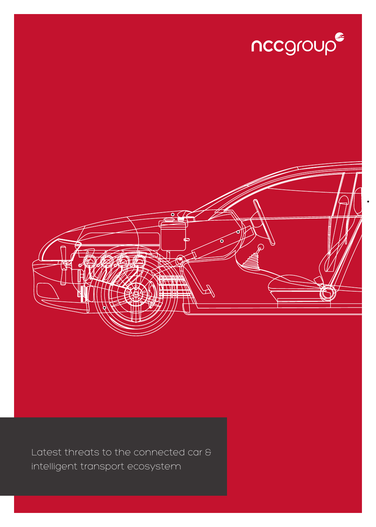



Latest threats to the connected car & intelligent transport ecosystem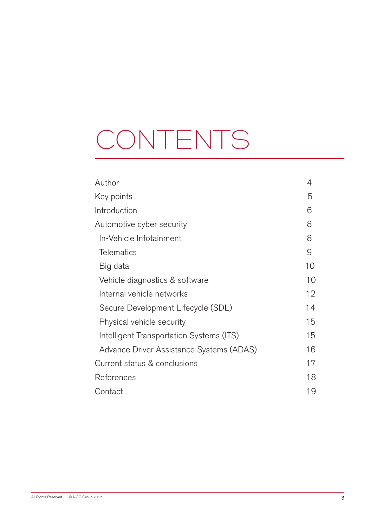# CONTENTS

| Author                                   | 4  |
|------------------------------------------|----|
| Key points                               | 5  |
| Introduction                             | 6  |
| Automotive cyber security                | 8  |
| In-Vehicle Infotainment                  | 8  |
| <b>Telematics</b>                        | 9  |
| Big data                                 | 10 |
| Vehicle diagnostics & software           | 10 |
| Internal vehicle networks                | 12 |
| Secure Development Lifecycle (SDL)       | 14 |
| Physical vehicle security                | 15 |
| Intelligent Transportation Systems (ITS) | 15 |
| Advance Driver Assistance Systems (ADAS) | 16 |
| Current status & conclusions             | 17 |
| References                               | 18 |
| Contact                                  | 19 |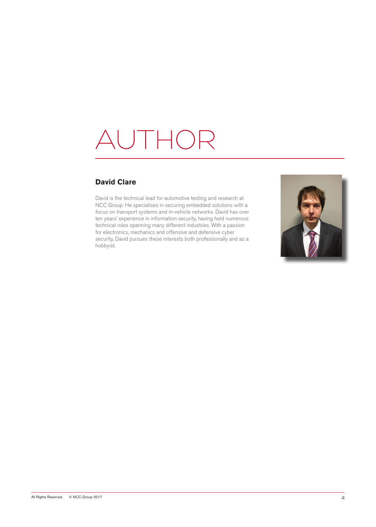## AUTHOR

#### **David Clare**

David is the technical lead for automotive testing and research at NCC Group. He specialises in securing embedded solutions with a focus on transport systems and in-vehicle networks. David has over ten years' experience in information security, having held numerous technical roles spanning many different industries. With a passion for electronics, mechanics and offensive and defensive cyber security, David pursues these interests both professionally and as a hobbyist.

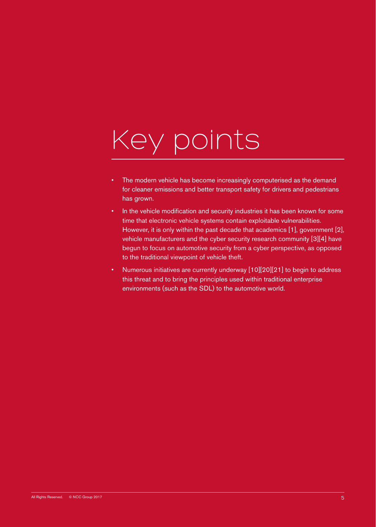# Key points

- The modern vehicle has become increasingly computerised as the demand for cleaner emissions and better transport safety for drivers and pedestrians has grown.
- In the vehicle modification and security industries it has been known for some time that electronic vehicle systems contain exploitable vulnerabilities. However, it is only within the past decade that academics [1], government [2], vehicle manufacturers and the cyber security research community [3][4] have begun to focus on automotive security from a cyber perspective, as opposed to the traditional viewpoint of vehicle theft.
- Numerous initiatives are currently underway [10][20][21] to begin to address this threat and to bring the principles used within traditional enterprise environments (such as the SDL) to the automotive world.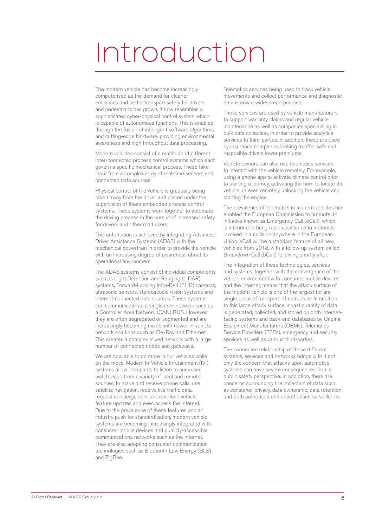### Introduction

The modern vehicle has become increasingly computerised as the demand for cleaner emissions and better transport safety for drivers and pedestrians has grown. It now resembles a sophisticated cyber-physical control system which is capable of autonomous functions. This is enabled through the fusion of intelligent software algorithms and cutting-edge hardware, providing environmental awareness and high throughput data processing.

Modern vehicles consist of a multitude of different inter-connected process control systems which each govern a specific mechanical process. These take input from a complex array of real-time sensors and connected data sources.

Physical control of the vehicle is gradually being taken away from the driver and placed under the supervision of these embedded process control systems. These systems work together to automate the driving process in the pursuit of increased safety for drivers and other road users.

This automation is achieved by integrating Advanced Driver Assistance Systems (ADAS) with the mechanical powertrain in order to provide the vehicle with an increasing degree of awareness about its operational environment.

The ADAS systems consist of individual components such as Light Detection and Ranging (LIDAR) systems, Forward-Looking Infra-Red (FLIR) cameras, ultrasonic sensors, stereoscopic vision systems and Internet-connected data sources. These systems can communicate via a single core network such as a Controller Area Network (CAN) BUS. However, they are often segregated or segmented and are increasingly becoming mixed with newer in-vehicle network solutions such as FlexRay and Ethernet. This creates a complex mixed network with a large number of connected nodes and gateways.

We are now able to do more in our vehicles while on the move. Modern In-Vehicle Infotainment (IVI) systems allow occupants to listen to audio and watch video from a variety of local and remote sources, to make and receive phone calls, use satellite navigation, receive live traffic data, request concierge services, real-time vehicle feature updates and even access the Internet. Due to the prevalence of these features and an industry push for standardisation, modern vehicle systems are becoming increasingly integrated with consumer mobile devices and publicly-accessible communications networks such as the Internet. They are also adopting consumer communication technologies such as Bluetooth Low Energy (BLE) and ZigBee.

Telematics services being used to track vehicle movements and collect performance and diagnostic data is now a widespread practice.

These services are used by vehicle manufacturers to support warranty claims and regular vehicle maintenance as well as companies specialising in bulk data collection, in order to provide analytics services to third-parties. In addition, these are used by insurance companies looking to offer safe and resposible drivers lower premiums.

Vehicle owners can also use telematics services to interact with the vehicle remotely. For example, using a phone app to activate climate control prior to starting a journey, activating the horn to locate the vehicle, or even remotely unlocking the vehicle and starting the engine.

The prevalence of telematics in modern vehicles has enabled the European Commission to promote an initiative known as Emergency Call (eCall), which is intended to bring rapid assistance to motorists involved in a collision anywhere in the European Union. eCall will be a standard feature of all new vehicles from 2018, with a follow-up system called Breakdown Call (bCall) following shortly after.

The integration of these technologies, services and systems, together with the convergence of the vehicle environment with consumer mobile devices and the Internet, means that the attack surface of the modern vehicle is one of the largest for any single piece of transport infrastructure. In addition to this large attack surface, a vast quantity of data is generated, collected, and stored on both internetfacing systems and back-end databases by Original Equipment Manufacturers (OEMs), Telematics Service Providers (TSPs), emergency and security services as well as various third-parties.

The connected relationship of these different systems, services and networks brings with it not only the concern that attacks upon automotive systems can have severe consequences from a public safety perspective. In addidtion, there are concerns surrounding the collection of data such as consumer privacy, data ownership, data retention and both authorised and unauthorised surveillance.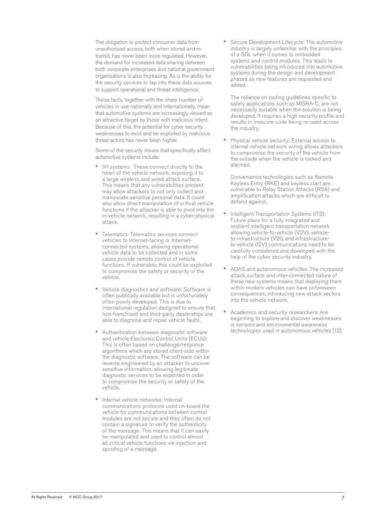The obligation to protect consumer data from unauthorised access, both when stored and intransit, has never been more regulated. However, the demand for increased data sharing between both corporate enterprises and national government organisations is also increasing. As is the ability for the security services to tap into these data sources to support operational and threat intelligence.

These facts, together with the sheer number of vehicles in use nationally and internationally, mean that automotive systems are increasingly viewed as an attractive target by those with malicious intent. Because of this, the potential for cyber security weaknesses to exist and be exploited by malicious threat actors has never been higher.

Some of the security issues that specifically affect automotive systems include:

- IVI systems: These connect directly to the heart of the vehicle network, exposing it to a large wireless and wired attack surface. This means that any vulnerabilities present may allow attackers to not only collect and manipulate sensitive personal data. It could also allow direct manipulation of critical vehicle functions if the attacker is able to pivot into the in-vehicle network, resulting in a cyber-physical attack.
- Telematics: Telematics services connect vehicles to Internet-facing or Internetconnected systems, allowing operational vehicle data to be collected and in some cases provide remote control of vehicle functions. If vulnerable, this could be exploited to compromise the safety or security of the vehicle.
- Vehicle diagnostics and software: Software is often publically available but is unfortunately often poorly developed. This is due to international regulation designed to ensure that non-franchised and third-party dealerships are able to diagnose and repair vehicle faults.
- Authentication between diagnostic software and vehicle Electornic Control Units (ECUs): This is often based on challenge/response algorithms which are stored client-side within the diagnostic software. The software can be reverse engineered by an attacker to uncover sensitive information, allowing legitimate diagnostic services to be exploited in order to compromise the security or safety of the vehicle.
- Internal vehicle networks: Internal communications protocols used on-board the vehicle for communications between control modules are not secure and they often do not contain a signature to verify the authenticity of the message. This means that it can easily be manipulated and used to control almost all critical vehicle functions via injection and spoofing of a message.

• Secure Development Lifecycle: The automotive industry is largely unfamiliar with the principles of a SDL when it comes to embedded systems and control modules. This leads to vulnerabilities being introduced into automotive systems during the design and development phases as new features are requested and added.

The reliance on coding guidelines specific to safety applications such as MISRA-C, are not necessarily suitable when the solution is being developed. It requires a high security profile and results in insecure code being re-used across the industry.

• Physical vehicle security: External access to internal vehicle network wiring allows attackers to compromise the security of the vehicle from the outside when the vehicle is locked and alarmed.

Convenience technologies such as Remote Keyless Entry (RKE) and keyless start are vulnerable to Relay Station Attacks (RSA) and amplification attacks which are difficult to defend against.

- Intelligent Transportation Systems (ITS): Future plans for a fully integrated and resilient intelligent transportation network allowing vehicle-to-vehicle (V2V), vehicleto-infrastructure (V2I), and infrastructureto-vehicle (I2V) communications need to be carefully considered and developed with the help of the cyber security industry.
- ADAS and autonomous vehicles: The increased attack surface and inter-connected nature of these new systems means that deploying them within modern vehicles can have unforeseen consequences, introducing new attack vectors into the vehicle network.
- Academics and security researchers: Are beginning to explore and discover weaknesses in sensors and environmental awareness technologies used in autonomous vehicles [12].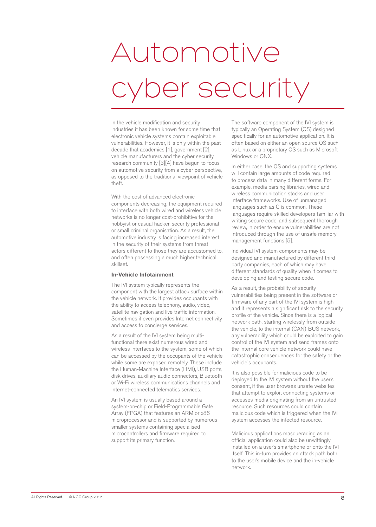# Automotive cyber security

In the vehicle modification and security industries it has been known for some time that electronic vehicle systems contain exploitable vulnerabilities. However, it is only within the past decade that academics [1], government [2], vehicle manufacturers and the cyber security research community [3][4] have begun to focus on automotive security from a cyber perspective, as opposed to the traditional viewpoint of vehicle theft.

With the cost of advanced electronic components decreasing, the equipment required to interface with both wired and wireless vehicle networks is no longer cost-prohibitive for the hobbyist or casual hacker, security professional or small criminal organisation. As a result, the automotive industry is facing increased interest in the security of their systems from threat actors different to those they are accustomed to, and often possessing a much higher technical skillset.

#### **In-Vehicle Infotainment**

The IVI system typically represents the component with the largest attack surface within the vehicle network. It provides occupants with the ability to access telephony, audio, video, satellite navigation and live traffic information. Sometimes it even provides Internet connectivity and access to concierge services.

As a result of the IVI system being multifunctional there exist numerous wired and wireless interfaces to the system, some of which can be accessed by the occupants of the vehicle while some are exposed remotely. These include the Human-Machine Interface (HMI), USB ports, disk drives, auxiliary audio connectors, Bluetooth or Wi-Fi wireless communications channels and Internet-connected telematics services.

An IVI system is usually based around a system-on-chip or Field-Programmable Gate Array (FPGA) that features an ARM or x86 microprocessor and is supported by numerous smaller systems containing specialised microcontrollers and firmware required to support its primary function.

The software component of the IVI system is typically an Operating System (OS) designed specifically for an automotive application. It is often based on either an open source OS such as Linux or a proprietary OS such as Microsoft Windows or QNX.

In either case, the OS and supporting systems will contain large amounts of code required to process data in many different forms. For example, media parsing libraries, wired and wireless communication stacks and user interface frameworks. Use of unmanaged languages such as C is common. These languages require skilled developers familiar with writing secure code, and subsequent thorough review, in order to ensure vulnerabilities are not introduced through the use of unsafe memory management functions [5].

Individual IVI system components may be designed and manufactured by different thirdparty companies, each of which may have different standards of quality when it comes to developing and testing secure code.

As a result, the probability of security vulnerabilities being present in the software or firmware of any part of the IVI system is high and it represents a significant risk to the security profile of the vehicle. Since there is a logical network path, starting wirelessly from outside the vehicle, to the internal (CAN)-BUS network, any vulnerability which could be exploited to gain control of the IVI system and send frames onto the internal core vehicle network could have catastrophic consequences for the safety or the vehicle's occupants.

It is also possible for malicious code to be deployed to the IVI system without the user's consent, if the user browses unsafe websites that attempt to exploit connecting systems or accesses media originating from an untrusted resource. Such resources could contain malicious code which is triggered when the IVI system accesses the infected resource.

Malicious applications masquerading as an official application could also be unwittingly installed on a user's smartphone or onto the IVI itself. This in-turn provides an attack path both to the user's mobile device and the in-vehicle network.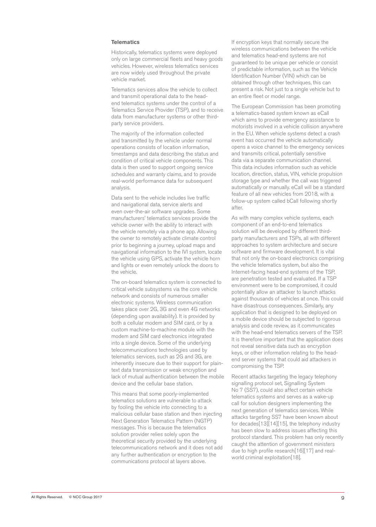#### **Telematics**

Historically, telematics systems were deployed only on large commercial fleets and heavy goods vehicles. However, wireless telematics services are now widely used throughout the private vehicle market.

Telematics services allow the vehicle to collect and transmit operational data to the headend telematics systems under the control of a Telematics Service Provider (TSP), and to receive data from manufacturer systems or other thirdparty service providers.

The majority of the information collected and transmitted by the vehicle under normal operations consists of location information, timestamps and data describing the status and condition of critical vehicle components. This data is then used to support ongoing service schedules and warranty claims, and to provide real-world performance data for subsequent analysis.

Data sent to the vehicle includes live traffic and navigational data, service alerts and even over-the-air software upgrades. Some manufacturers' telematics services provide the vehicle owner with the ability to interact with the vehicle remotely via a phone app. Allowing the owner to remotely activate climate control prior to beginning a journey, upload maps and navigational information to the IVI system, locate the vehicle using GPS, activate the vehicle horn and lights or even remotely unlock the doors to the vehicle.

The on-board telematics system is connected to critical vehicle subsystems via the core vehicle network and consists of numerous smaller electronic systems. Wireless communication takes place over 2G, 3G and even 4G networks (depending upon availability). It is provided by both a cellular modem and SIM card, or by a custom machine-to-machine module with the modem and SIM card electronics integrated into a single device. Some of the underlying telecommunications technologies used by telematics services, such as 2G and 3G, are inherently insecure due to their support for plaintext data transmission or weak encryption and lack of mutual authentication between the mobile device and the cellular base station.

This means that some poorly-implemented telematics solutions are vulnerable to attack by fooling the vehicle into connecting to a malicious cellular base station and then injecting Next Generation Telematics Pattern (NGTP) messages. This is because the telematics solution provider relies solely upon the theoretical security provided by the underlying telecommunications network and it does not add any further authentication or encryption to the communications protocol at layers above.

If encryption keys that normally secure the wireless communications between the vehicle and telematics head-end systems are not guaranteed to be unique per vehicle or consist of predictable information, such as the Vehicle Identification Number (VIN) which can be obtained through other techniques, this can present a risk. Not just to a single vehicle but to an entire fleet or model range.

The European Commission has been promoting a telematics-based system known as eCall which aims to provide emergency assistance to motorists involved in a vehicle collision anywhere in the EU. When vehicle systems detect a crash event has occurred the vehicle automatically opens a voice channel to the emergency services and transmits critical, potentially sensitive data via a separate communication channel. This data includes information such as vehicle location, direction, status, VIN, vehicle propulsion storage type and whether the call was triggered automatically or manually. eCall will be a standard feature of all new vehicles from 2018, with a follow-up system called bCall following shortly after.

As with many complex vehicle systems, each component of an end-to-end telematics solution will be developed by different thirdparty manufacturers and TSPs, all with different approaches to system architecture and secure software and firmware development. It is vital that not only the on-board electronics comprising the vehicle telematics system, but also the Internet-facing head-end systems of the TSP, are penetration tested and evaluated. If a TSP environment were to be compromised, it could potentially allow an attacker to launch attacks against thousands of vehicles at once. This could have disastrous consequences. Similarly, any application that is designed to be deployed on a mobile device should be subjected to rigorous analysis and code review, as it communicates with the head-end telematics servers of the TSP. It is therefore important that the application does not reveal sensitive data such as encryption keys, or other information relating to the headend server systems that could aid attackers in compromising the TSP.

Recent attacks targeting the legacy telephony signalling protocol set, Signalling System No 7 (SS7), could also affect certain vehicle telematics systems and serves as a wake-up call for solution designers implementing the next generation of telematics services. While attacks targeting SS7 have been known about for decades[13][14][15], the telephony industry has been slow to address issues affecting this protocol standard. This problem has only recently caught the attention of government ministers due to high profile research[16][17] and realworld criminal exploitation[18].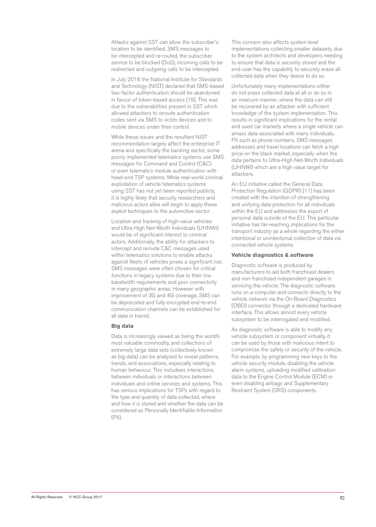Attacks against SS7 can allow the subscriber's location to be identified, SMS messages to be intercepted and re-routed, the subscriber service to be blocked (DoS), incoming calls to be redirected and outgoing calls to be intercepted.

In July 2016 the National Institute for Standards and Technology (NIST) declared that SMS-based two-factor authentication should be abandoned in favour of token-based access [19]. This was due to the vulnerabilities present in SS7 which allowed attackers to reroute authentication codes sent via SMS to victim devices and to mobile devices under their control.

While these issues and the resultant NIST recommendation largely affect the enterprise IT arena and specifically the banking sector, some poorly implemented telematics systems use SMS messages for Command and Control (C&C) or even telematics module authentication with head-end TSP systems. While real-world criminal exploitation of vehicle telematics systems using SS7 has not yet been reported publicly, it is highly likely that security researchers and malicious actors alike will begin to apply these exploit techniques to the automotive sector.

Location and tracking of high-value vehicles and Ultra High Net-Worth Individuals (UHNWI) would be of significant interest to criminal actors. Additionally, the ability for attackers to intercept and reroute C&C messages used within telematics solutions to enable attacks against fleets of vehicles poses a significant risk. SMS messages were often chosen for critical functions in legacy systems due to their low bandwidth requirements and poor connectivity in many geographic areas. However with improvement of 3G and 4G coverage, SMS can be deprecated and fully encrypted end-to-end communication channels can be established for all data in transit.

#### **Big data**

Data is increasingly viewed as being the world's most valuable commodity, and collections of extremely large data sets (collectively known as big data) can be analysed to reveal patterns, trends, and associations, especially relating to human behaviour. This includees interactions between individuals or interactions between individuals and online services and systems. This has serious implications for TSPs with regard to the type and quantity of data collected, where and how it is stored and whether the data can be considered as Personally Identifiable Information  $(PII)$ 

This concern also affects system level implementations collecting smaller datasets, due to the system architects and developers needing to ensure that data is securely stored and the end-user has the capability to securely erase all collected data when they desire to do so.

Unfortunately many implementations either do not erase collected data at all or do so in an insecure manner, where the data can still be recovered by an attacker with sufficient knowledge of the system implementation. This results in significant implications for the rental and used car markets where a single vehicle can amass data associated with many individuals. PII such as phone numbers, SMS messages addresses and travel locations can fetch a high price on the black market, especially when the data pertains to Ultra-High Net-Worth Individuals (UHNWI) which are a high value target for attackers.

An EU initiative called the General Data Protection Regulation (GDPR) [11] has been created with the intention of strengthening and unifying data protection for all individuals within the EU and addresses the export of personal data outside of the EU. This particular initiative has far-reaching implications for the transport industry as a whole regarding the either intentional or unintentional collection of data via connected vehicle systems.

#### **Vehicle diagnostics & software**

Diagnostic software is produced by manufacturers to aid both franchised dealers and non-franchised independent garages in servicing the vehicle. The diagnostic software runs on a computer and connects directly to the vehicle network via the On-Board Diagnostics (OBD) connector through a dedicated hardware interface. This allows almost every vehicle subsystem to be interrogated and modified.

As diagnostic software is able to modify any vehicle subsystem or component virtually, it can be used by those with malicious intent to compromise the safety or security of the vehicle. For example, by programming new keys to the vehicle security module, disabling the vehicle alarm systems, uploading modified calibration data to the Engine Control Module (ECM) or even disabling airbags and Supplementary Restraint System (SRS) components.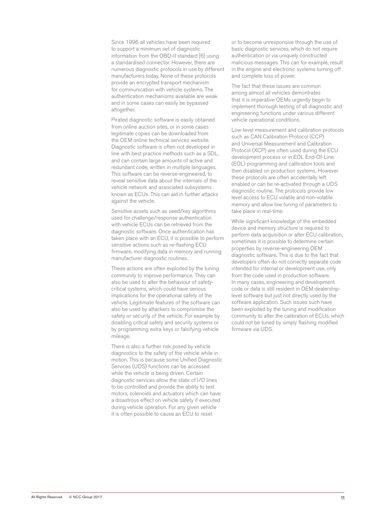Since 1996 all vehicles have been required to support a minimum set of diagnostic information from the OBD-II standard [6] using a standardised connector. However, there are numerous diagnostic protocols in use by different manufacturers today. None of these protocols provide an encrypted transport mechanism for communication with vehicle systems. The authentication mechanisms available are weak and in some cases can easily be bypassed altogether.

Pirated diagnostic software is easily obtained from online auction sites, or in some cases legitimate copies can be downloaded from the OEM online technical services website. Diagnostic software is often not developed in line with best practice methods such as a SDL, and can contain large amounts of active and redundant code, written in multiple languages. This software can be reverse-engineered, to reveal sensitive data about the internals of the vehicle network and associated subsystems known as ECUs. This can aid in further attacks against the vehicle.

Sensitive assets such as seed/key algorithms used for challenge/response authentication with vehicle ECUs can be retrieved from the diagnostic software. Once authentication has taken place with an ECU, it is possible to perform sensitive actions such as re-flashing ECU firmware, modifying data in memory and running manufacturer diagnostic routines.

These actions are often exploited by the tuning community to improve performance. They can also be used to alter the behaviour of safetycritical systems, which could have serious implications for the operational safety of the vehicle. Legitimate features of the software can also be used by attackers to compromise the safety or security of the vehicle. For example by disabling critical safety and security systems or by programming extra keys or falsifying vehicle mileage.

There is also a further risk posed by vehicle diagnostics to the safety of the vehicle while in motion. This is because some Unified Diagnostic Services (UDS) functions can be accessed while the vehicle is being driven. Certain diagnostic services allow the state of I/O lines to be controlled and provide the ability to test motors, solenoids and actuators which can have a disastrous effect on vehicle safety if executed during vehicle operation. For any given vehicle it is often possible to cause an ECU to reset

or to become unresponsive through the use of basic diagnostic services, which do not require authentication or via uniquely constructed malicious messages. This can for example, result in the engine and electronic systems turning off and complete loss of power.

The fact that these issues are common among almost all vehicles demontrates that it is imperative OEMs urgently begin to implement thorough testing of all diagnostic and engineering functions under various different vehicle operational conditions.

Low-level measurement and calibration protocols such as CAN Calibration Protocol (CCP) and Universal Measurement and Calibration Protocol (XCP) are often used during the ECU development process or in EOL End-Of-Line (EOL) programming and calibration tools and then disabled on production systems. However these protocols are often accidentally left enabled or can be re-activated through a UDS diagnostic routine. The protocols provide low level access to ECU volatile and non-volatile memory and allow live tuning of parameters to take place in real-time.

While significant knowledge of the embedded device and memory structure is required to perform data acquisition or alter ECU calibration, sometimes it is possible to determine certain properties by reverse-engineering OEM diagnostic software. This is due to the fact that developers often do not correctly separate code intended for internal or development use, only from the code used in production software. In many cases, engineering and development code or data is still resident in OEM dealershiplevel software but just not directly used by the software application. Such issues such have been exploited by the tuning and modification community to alter the calibration of ECUs, which could not be tuned by simply flashing modified firmware via UDS.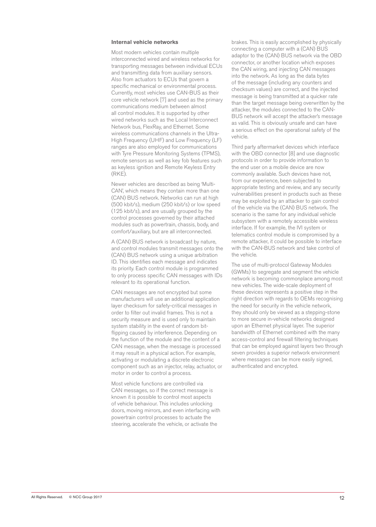#### **Internal vehicle networks**

Most modern vehicles contain multiple interconnected wired and wireless networks for transporting messages between individual ECUs and transmitting data from auxiliary sensors. Also from actuators to ECUs that govern a specific mechanical or environmental process. Currently, most vehicles use CAN-BUS as their core vehicle network [7] and used as the primary communications medium between almost all control modules. It is supported by other wired networks such as the Local Interconnect Network bus, FlexRay, and Ethernet. Some wireless communications channels in the Ultra-High Frequency (UHF) and Low Frequency (LF) ranges are also employed for communications with Tyre Pressure Monitoring Systems (TPMS), remote sensors as well as key fob features such as keyless ignition and Remote Keyless Entry (RKE).

Newer vehicles are described as being 'Multi-CAN', which means they contain more than one (CAN) BUS network. Networks can run at high (500 kbit/s), medium (250 kbit/s) or low speed (125 kbit/s), and are usually grouped by the control processes governed by their attached modules such as powertrain, chassis, body, and comfort/auxiliary, but are all interconnected.

A (CAN) BUS network is broadcast by nature, and control modules transmit messages onto the (CAN) BUS network using a unique arbitration ID. This identifies each message and indicates its priority. Each control module is programmed to only process specific CAN messages with IDs relevant to its operational function.

CAN messages are not encrypted but some manufacturers will use an additional application layer checksum for safety-critical messages in order to filter out invalid frames. This is not a security measure and is used only to maintain system stability in the event of random bitflipping caused by interference. Depending on the function of the module and the content of a CAN message, when the message is processed it may result in a physical action. For example, activating or modulating a discrete electronic component such as an injector, relay, actuator, or motor in order to control a process.

Most vehicle functions are controlled via CAN messages, so if the correct message is known it is possible to control most aspects of vehicle behaviour. This includes unlocking doors, moving mirrors, and even interfacing with powertrain control processes to actuate the steering, accelerate the vehicle, or activate the

brakes. This is easily accomplished by physically connecting a computer with a (CAN) BUS adaptor to the (CAN) BUS network via the OBD connector, or another location which exposes the CAN wiring, and injecting CAN messages into the network. As long as the data bytes of the message (including any counters and checksum values) are correct, and the injected message is being transmitted at a quicker rate than the target message being overwritten by the attacker, the modules connected to the CAN-BUS network will accept the attacker's message as valid. This is obviously unsafe and can have a serious effect on the operational safety of the vehicle.

Third party aftermarket devices which interface with the OBD connector [8] and use diagnostic protocols in order to provide information to the end user on a mobile device are now commonly available. Such devices have not, from our experience, been subjected to appropriate testing and review, and any security vulnerabilities present in products such as these may be exploited by an attacker to gain control of the vehicle via the (CAN) BUS network. The scenario is the same for any individual vehicle subsystem with a remotely accessible wireless interface. If for example, the IVI system or telematics control module is compromised by a remote attacker, it could be possible to interface with the CAN-BUS network and take control of the vehicle.

The use of multi-protocol Gateway Modules (GWMs) to segregate and segment the vehicle network is becoming commonplace among most new vehicles. The wide-scale deployment of these devices represents a positive step in the right direction with regards to OEMs recognising the need for security in the vehicle network, they should only be viewed as a stepping-stone to more secure in-vehicle networks designed upon an Ethernet physical layer. The superior bandwidth of Ethernet combined with the many access-control and firewall filtering techniques that can be employed against layers two through seven provides a superior network environment where messages can be more easily signed, authenticated and encrypted.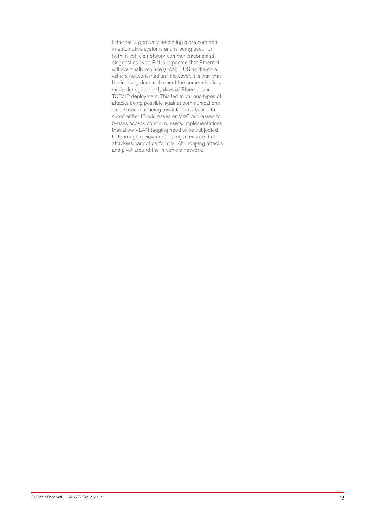Ethernet is gradually becoming more common in automotive systems and is being used for both in-vehicle network communications and diagnostics over IP. It is expected that Ethernet will eventually replace (CAN) BUS as the core vehicle network medium. However, it is vital that the industry does not repeat the same mistakes made during the early days of Ethernet and TCP/IP deployment. This led to various types of attacks being possible against communications stacks due to it being trivial for an attacker to spoof either IP addresses or MAC addresses to bypass access control rulesets. Implementations that allow VLAN tagging need to be subjected to thorough review and testing to ensure that attackers cannot perform VLAN hopping attacks and pivot around the in-vehicle network.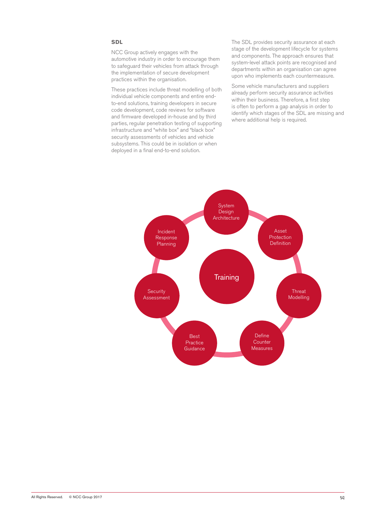#### **SDL**

NCC Group actively engages with the automotive industry in order to encourage them to safeguard their vehicles from attack through the implementation of secure development practices within the organisation.

These practices include threat modelling of both individual vehicle components and entire endto-end solutions, training developers in secure code development, code reviews for software and firmware developed in-house and by third parties, regular penetration testing of supporting infrastructure and "white box" and "black box" security assessments of vehicles and vehicle subsystems. This could be in isolation or when deployed in a final end-to-end solution.

The SDL provides security assurance at each stage of the development lifecycle for systems and components. The approach ensures that system-level attack points are recognised and departments within an organisation can agree upon who implements each countermeasure.

Some vehicle manufacturers and suppliers already perform security assurance activities within their business. Therefore, a first step is often to perform a gap analysis in order to identify which stages of the SDL are missing and where additional help is required.

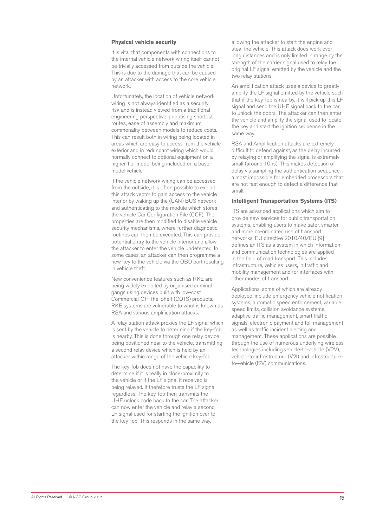#### **Physical vehicle security**

It is vital that components with connections to the internal vehicle network wiring itself cannot be trivially accessed from outside the vehicle. This is due to the damage that can be caused by an attacker with access to the core vehicle network.

Unfortunately, the location of vehicle network wiring is not always identified as a security risk and is instead viewed from a traditional engineering perspective, prioritising shortest routes, ease of assembly and maximum commonality between models to reduce costs. This can result both in wiring being located in areas which are easy to access from the vehicle exterior and in redundant wiring which would normally connect to optional equipment on a higher-tier model being included on a basemodel vehicle.

If the vehicle network wiring can be accessed from the outside, it is often possible to exploit this attack vector to gain access to the vehicle interior by waking up the (CAN) BUS network and authenticating to the module which stores the vehicle Car Configuration File (CCF). The properties are then modified to disable vehicle security mechanisms, where further diagnostic routines can then be executed. This can provide potential entry to the vehicle interior and allow the attacker to enter the vehicle undetected. In some cases, an attacker can then programme a new key to the vehicle via the OBD port resulting in vehicle theft.

New convenience features such as RKE are being widely exploited by organised criminal gangs using devices built with low-cost Commercial-Off-The-Shelf (COTS) products. RKE systems are vulnerable to what is known as RSA and various amplification attacks.

A relay station attack proxies the LF signal which is sent by the vehicle to determine if the key-fob is nearby. This is done through one relay device being positioned near to the vehicle, transmitting a second relay device which is held by an attacker within range of the vehicle key-fob.

The key-fob does not have the capability to determine if it is really in close-proximity to the vehicle or if the LF signal it received is being relayed. It therefore trusts the LF signal regardless. The key-fob then transmits the UHF unlock code back to the car. The attacker can now enter the vehicle and relay a second LF signal used for starting the ignition over to the key-fob. This responds in the same way,

allowing the attacker to start the engine and steal the vehicle. This attack does work over long distances and is only limited in range by the strength of the carrier signal used to relay the original LF signal emitted by the vehicle and the two relay stations.

An amplification attack uses a device to greatly amplify the LF signal emitted by the vehicle such that if the key-fob is nearby, it will pick up this LF signal and send the UHF signal back to the car to unlock the doors. The attacker can then enter the vehicle and amplify the signal used to locate the key and start the ignition sequence in the same way.

RSA and Amplification attacks are extremely difficult to defend against, as the delay incurred by relaying or amplifying the signal is extremely small (around 10ns). This makes detection of delay via sampling the authentication sequence almost impossible for embedded processors that are not fast enough to detect a difference that small.

#### **Intelligent Transportation Systems (ITS)**

ITS are advanced applications which aim to provide new services for public transportation systems, enabling users to make safer, smarter, and more co-ordinated use of transport networks. EU directive 2010/40/EU [9] defines an ITS as a system in which information and communication technologies are applied in the field of road transport. This includes infrastructure, vehicles users, in traffic and mobility management and for interfaces with other modes of transport.

Applications, some of which are already deployed, include emergency vehicle notification systems, automatic speed enforcement, variable speed limits, collision avoidance systems, adaptive traffic management, smart traffic signals, electronic payment and toll management as well as traffic incident alerting and management. These applications are possible through the use of numerous underlying wireless technologies including vehicle-to-vehicle (V2V), vehicle-to-infrastructure (V2I) and infrastructureto-vehicle (I2V) communications.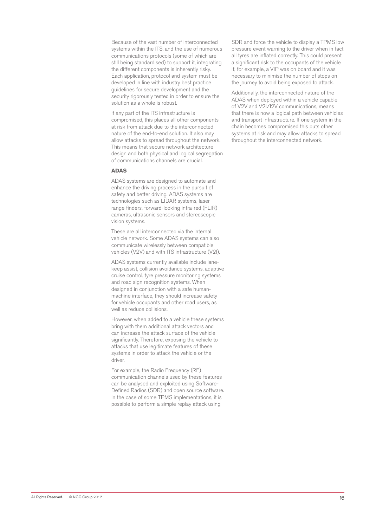Because of the vast number of interconnected systems within the ITS, and the use of numerous communications protocols (some of which are still being standardised) to support it, integrating the different components is inherently risky. Each application, protocol and system must be developed in line with industry best practice guidelines for secure development and the security rigorously tested in order to ensure the solution as a whole is robust.

If any part of the ITS infrastructure is compromised, this places all other components at risk from attack due to the interconnected nature of the end-to-end solution. It also may allow attacks to spread throughout the network. This means that secure network architecture design and both physical and logical segregation of communications channels are crucial.

#### **ADAS**

ADAS systems are designed to automate and enhance the driving process in the pursuit of safety and better driving. ADAS systems are technologies such as LIDAR systems, laser range finders, forward-looking infra-red (FLIR) cameras, ultrasonic sensors and stereoscopic vision systems.

These are all interconnected via the internal vehicle network. Some ADAS systems can also communicate wirelessly between compatible vehicles (V2V) and with ITS infrastructure (V2I).

ADAS systems currently available include lanekeep assist, collision avoidance systems, adaptive cruise control, tyre pressure monitoring systems and road sign recognition systems. When designed in conjunction with a safe humanmachine interface, they should increase safety for vehicle occupants and other road users, as well as reduce collisions.

However, when added to a vehicle these systems bring with them additional attack vectors and can increase the attack surface of the vehicle significantly. Therefore, exposing the vehicle to attacks that use legitimate features of these systems in order to attack the vehicle or the driver.

For example, the Radio Frequency (RF) communication channels used by these features can be analysed and exploited using Software-Defined Radios (SDR) and open source software. In the case of some TPMS implementations, it is possible to perform a simple replay attack using

SDR and force the vehicle to display a TPMS low pressure event warning to the driver when in fact all tyres are inflated correctly. This could present a significant risk to the occupants of the vehicle if, for example, a VIP was on board and it was necessary to minimise the number of stops on the journey to avoid being exposed to attack.

Additionally, the interconnected nature of the ADAS when deployed within a vehicle capable of V2V and V2I/I2V communications, means that there is now a logical path between vehicles and transport infrastructure. If one system in the chain becomes compromised this puts other systems at risk and may allow attacks to spread throughout the interconnected network.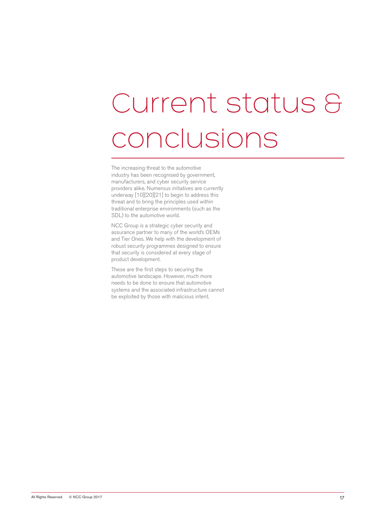# Current status & conclusions

The increasing threat to the automotive industry has been recognised by government, manufacturers, and cyber security service providers alike. Numerous initiatives are currently underway [10][20][21] to begin to address this threat and to bring the principles used within traditional enterprise environments (such as the SDL) to the automotive world.

NCC Group is a strategic cyber security and assurance partner to many of the world's OEMs and Tier Ones. We help with the development of robust security programmes designed to ensure that security is considered at every stage of product development.

These are the first steps to securing the automotive landscape. However, much more needs to be done to ensure that automotive systems and the associated infrastructure cannot be exploited by those with malicious intent.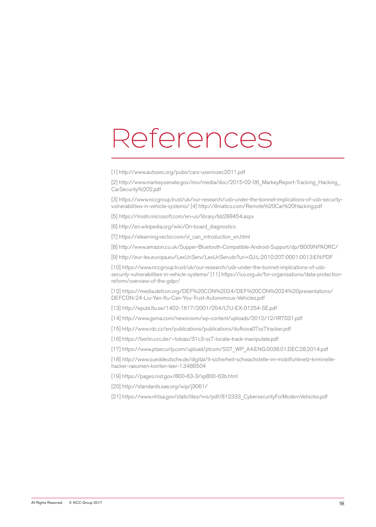### References

[1] http://www.autosec.org/pubs/cars-usenixsec2011.pdf

[2] http://www.markey.senate.gov/imo/media/doc/2015-02-06\_MarkeyReport-Tracking\_Hacking\_ CarSecurity%202.pdf

[3] https://www.nccgroup.trust/uk/our-research/usb-under-the-bonnet-implications-of-usb-securityvulnerabilities-in-vehicle-systems/ [4] http://illmatics.com/Remote%20Car%20Hacking.pdf

[5] https://msdn.microsoft.com/en-us/library/bb288454.aspx

[6] http://en.wikipedia.org/wiki/On-board\_diagnostics

[7] https://elearning.vector.com/vl\_can\_introduction\_en.html

[8] http://www.amazon.co.uk/Supper-Bluetooth-Compatible-Android-Support/dp/B009NPAORC/

[9] http://eur-lex.europa.eu/LexUriServ/LexUriServ.do?uri=OJ:L:2010:207:0001:0013:EN:PDF

[10] https://www.nccgroup.trust/uk/our-research/usb-under-the-bonnet-implications-of-usbsecurity-vulnerabilities-in-vehicle-systems/ [11] https://ico.org.uk/for-organisations/data-protectionreform/overview-of-the-gdpr/

[12] https://media.defcon.org/DEF%20CON%2024/DEF%20CON%2024%20presentations/ DEFCON-24-Liu-Yan-Xu-Can-You-Trust-Autonomous-Vehicles.pdf

[13] http://epubl.ltu.se/1402-1617/2001/254/LTU-EX-01254-SE.pdf

[14] http://www.gsma.com/newsroom/wp-content/uploads/2012/12/IR7031.pdf

[15] http://www.rdc.cz/en/publications/publications/dufkova07ss7tracker.pdf

[16] https://berlin.ccc.de/~tobias/31c3-ss7-locate-track-manipulate.pdf

[17] https://www.ptsecurity.com/upload/ptcom/SS7\_WP\_A4.ENG.0036.01.DEC.28.2014.pdf

[18] http://www.sueddeutsche.de/digital/it-sicherheit-schwachstelle-im-mobilfunknetz-kriminellehacker-raeumen-konten-leer-1.3486504

[19] https://pages.nist.gov/800-63-3/sp800-63b.html

[20] http://standards.sae.org/wip/j3061/

[21] https://www.nhtsa.gov/staticfiles/nvs/pdf/812333\_CybersecurityForModernVehicles.pdf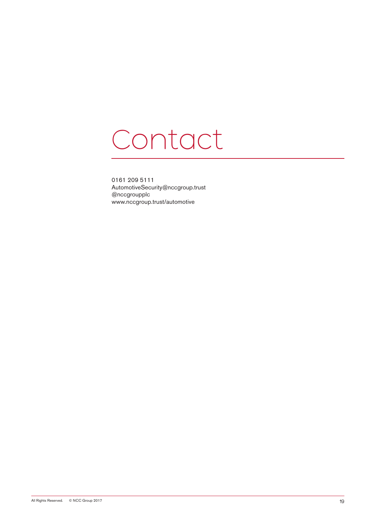### Contact

0161 209 5111 AutomotiveSecurity@nccgroup.trust @nccgroupplc www.nccgroup.trust/automotive